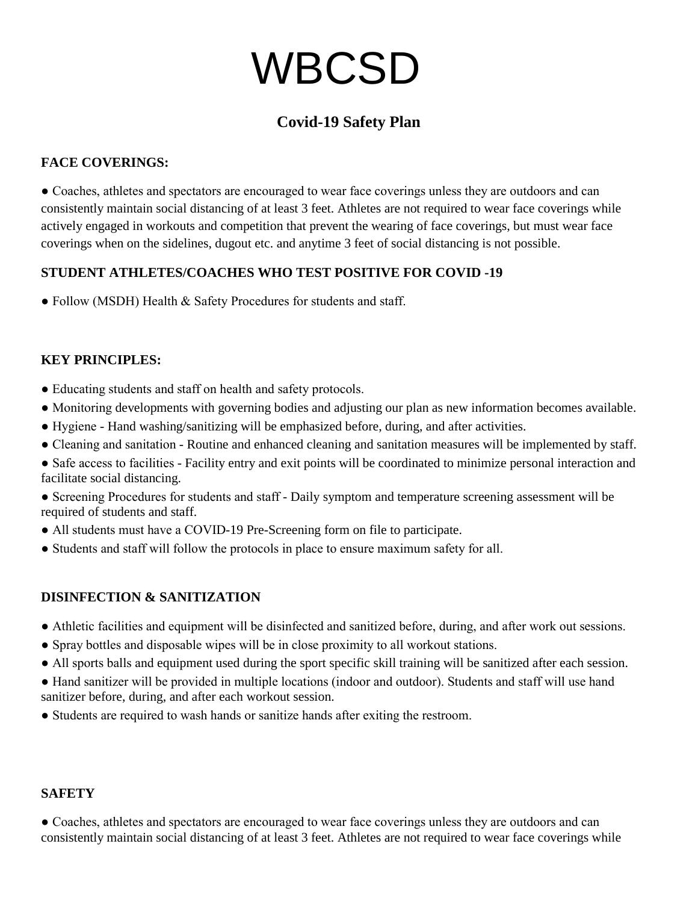# WBCSD

# **Covid-19 Safety Plan**

#### **FACE COVERINGS:**

● Coaches, athletes and spectators are encouraged to wear face coverings unless they are outdoors and can consistently maintain social distancing of at least 3 feet. Athletes are not required to wear face coverings while actively engaged in workouts and competition that prevent the wearing of face coverings, but must wear face coverings when on the sidelines, dugout etc. and anytime 3 feet of social distancing is not possible.

#### **STUDENT ATHLETES/COACHES WHO TEST POSITIVE FOR COVID -19**

● Follow (MSDH) Health & Safety Procedures for students and staff.

#### **KEY PRINCIPLES:**

- Educating students and staff on health and safety protocols.
- Monitoring developments with governing bodies and adjusting our plan as new information becomes available.
- Hygiene Hand washing/sanitizing will be emphasized before, during, and after activities.
- Cleaning and sanitation Routine and enhanced cleaning and sanitation measures will be implemented by staff.
- Safe access to facilities Facility entry and exit points will be coordinated to minimize personal interaction and facilitate social distancing.

● Screening Procedures for students and staff - Daily symptom and temperature screening assessment will be required of students and staff.

- All students must have a COVID-19 Pre-Screening form on file to participate.
- Students and staff will follow the protocols in place to ensure maximum safety for all.

#### **DISINFECTION & SANITIZATION**

- Athletic facilities and equipment will be disinfected and sanitized before, during, and after work out sessions.
- Spray bottles and disposable wipes will be in close proximity to all workout stations.
- All sports balls and equipment used during the sport specific skill training will be sanitized after each session.
- Hand sanitizer will be provided in multiple locations (indoor and outdoor). Students and staff will use hand sanitizer before, during, and after each workout session.
- Students are required to wash hands or sanitize hands after exiting the restroom.

#### **SAFETY**

● Coaches, athletes and spectators are encouraged to wear face coverings unless they are outdoors and can consistently maintain social distancing of at least 3 feet. Athletes are not required to wear face coverings while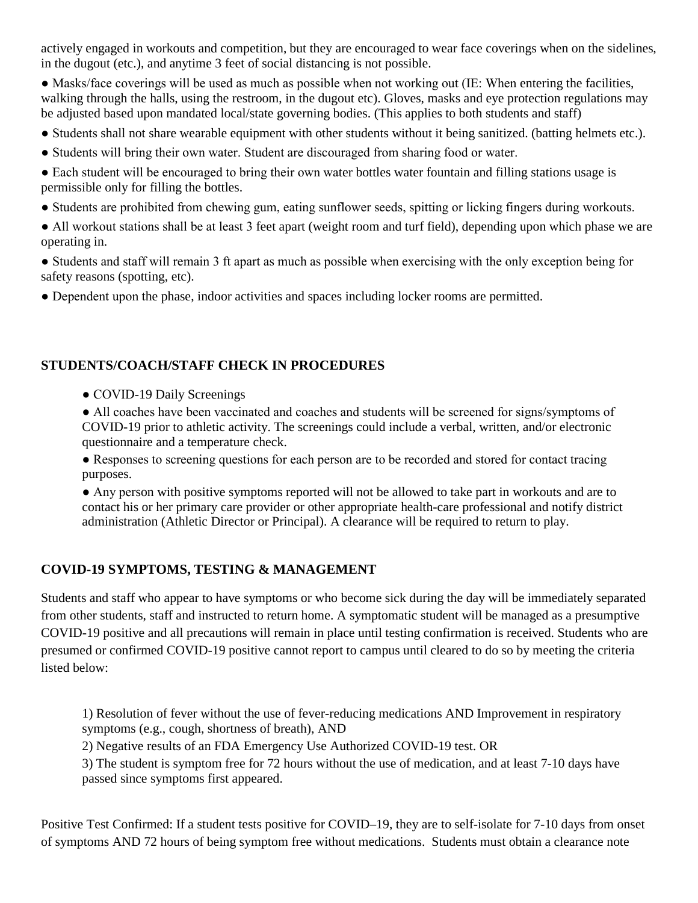actively engaged in workouts and competition, but they are encouraged to wear face coverings when on the sidelines, in the dugout (etc.), and anytime 3 feet of social distancing is not possible.

● Masks/face coverings will be used as much as possible when not working out (IE: When entering the facilities, walking through the halls, using the restroom, in the dugout etc). Gloves, masks and eye protection regulations may be adjusted based upon mandated local/state governing bodies. (This applies to both students and staff)

- Students shall not share wearable equipment with other students without it being sanitized. (batting helmets etc.).
- Students will bring their own water. Student are discouraged from sharing food or water.
- Each student will be encouraged to bring their own water bottles water fountain and filling stations usage is permissible only for filling the bottles.
- Students are prohibited from chewing gum, eating sunflower seeds, spitting or licking fingers during workouts.
- All workout stations shall be at least 3 feet apart (weight room and turf field), depending upon which phase we are operating in.
- Students and staff will remain 3 ft apart as much as possible when exercising with the only exception being for safety reasons (spotting, etc).
- Dependent upon the phase, indoor activities and spaces including locker rooms are permitted.

#### **STUDENTS/COACH/STAFF CHECK IN PROCEDURES**

- COVID-19 Daily Screenings
- All coaches have been vaccinated and coaches and students will be screened for signs/symptoms of COVID-19 prior to athletic activity. The screenings could include a verbal, written, and/or electronic questionnaire and a temperature check.
- Responses to screening questions for each person are to be recorded and stored for contact tracing purposes.
- Any person with positive symptoms reported will not be allowed to take part in workouts and are to contact his or her primary care provider or other appropriate health-care professional and notify district administration (Athletic Director or Principal). A clearance will be required to return to play.

#### **COVID-19 SYMPTOMS, TESTING & MANAGEMENT**

Students and staff who appear to have symptoms or who become sick during the day will be immediately separated from other students, staff and instructed to return home. A symptomatic student will be managed as a presumptive COVID-19 positive and all precautions will remain in place until testing confirmation is received. Students who are presumed or confirmed COVID-19 positive cannot report to campus until cleared to do so by meeting the criteria listed below:

1) Resolution of fever without the use of fever-reducing medications AND Improvement in respiratory symptoms (e.g., cough, shortness of breath), AND

2) Negative results of an FDA Emergency Use Authorized COVID-19 test. OR

3) The student is symptom free for 72 hours without the use of medication, and at least 7-10 days have passed since symptoms first appeared.

Positive Test Confirmed: If a student tests positive for COVID–19, they are to self-isolate for 7-10 days from onset of symptoms AND 72 hours of being symptom free without medications. Students must obtain a clearance note